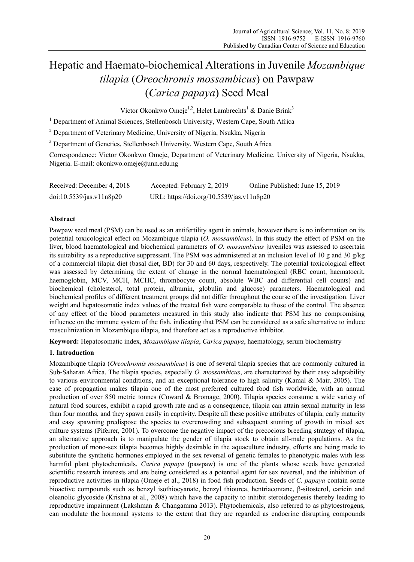# Hepatic and Haemato-biochemical Alterations in Juvenile *Mozambique tilapia* (*Oreochromis mossambicus*) on Pawpaw (*Carica papaya*) Seed Meal

Victor Okonkwo Omeje<sup>1,2</sup>, Helet Lambrechts<sup>1</sup> & Danie Brink<sup>3</sup>

<sup>1</sup> Department of Animal Sciences, Stellenbosch University, Western Cape, South Africa

<sup>2</sup> Department of Veterinary Medicine, University of Nigeria, Nsukka, Nigeria

<sup>3</sup> Department of Genetics, Stellenbosch University, Western Cape, South Africa

Correspondence: Victor Okonkwo Omeje, Department of Veterinary Medicine, University of Nigeria, Nsukka, Nigeria. E-mail: okonkwo.omeje@unn.edu.ng

| Received: December 4, 2018 | Accepted: February 2, 2019                | Online Published: June 15, 2019 |
|----------------------------|-------------------------------------------|---------------------------------|
| doi:10.5539/jas.v11n8p20   | URL: https://doi.org/10.5539/jas.v11n8p20 |                                 |

# **Abstract**

Pawpaw seed meal (PSM) can be used as an antifertility agent in animals, however there is no information on its potential toxicological effect on Mozambique tilapia (*O. mossambicus*). In this study the effect of PSM on the liver, blood haematological and biochemical parameters of *O. mossambicus* juveniles was assessed to ascertain its suitability as a reproductive suppressant. The PSM was administered at an inclusion level of 10 g and 30 g/kg of a commercial tilapia diet (basal diet, BD) for 30 and 60 days, respectively. The potential toxicological effect was assessed by determining the extent of change in the normal haematological (RBC count, haematocrit, haemoglobin, MCV, MCH, MCHC, thrombocyte count, absolute WBC and differential cell counts) and biochemical (cholesterol, total protein, albumin, globulin and glucose) parameters. Haematological and biochemical profiles of different treatment groups did not differ throughout the course of the investigation. Liver weight and hepatosomatic index values of the treated fish were comparable to those of the control. The absence of any effect of the blood parameters measured in this study also indicate that PSM has no compromising influence on the immune system of the fish, indicating that PSM can be considered as a safe alternative to induce masculinization in Mozambique tilapia, and therefore act as a reproductive inhibitor.

**Keyword:** Hepatosomatic index, *Mozambique tilapia*, *Carica papaya*, haematology, serum biochemistry

# **1. Introduction**

Mozambique tilapia (*Oreochromis mossambicus*) is one of several tilapia species that are commonly cultured in Sub-Saharan Africa. The tilapia species, especially *O. mossambicus*, are characterized by their easy adaptability to various environmental conditions, and an exceptional tolerance to high salinity (Kamal & Mair, 2005). The ease of propagation makes tilapia one of the most preferred cultured food fish worldwide, with an annual production of over 850 metric tonnes (Coward & Bromage, 2000). Tilapia species consume a wide variety of natural food sources, exhibit a rapid growth rate and as a consequence, tilapia can attain sexual maturity in less than four months, and they spawn easily in captivity. Despite all these positive attributes of tilapia, early maturity and easy spawning predispose the species to overcrowding and subsequent stunting of growth in mixed sex culture systems (Piferrer, 2001). To overcome the negative impact of the precocious breeding strategy of tilapia, an alternative approach is to manipulate the gender of tilapia stock to obtain all-male populations. As the production of mono-sex tilapia becomes highly desirable in the aquaculture industry, efforts are being made to substitute the synthetic hormones employed in the sex reversal of genetic females to phenotypic males with less harmful plant phytochemicals. *Carica papaya* (pawpaw) is one of the plants whose seeds have generated scientific research interests and are being considered as a potential agent for sex reversal, and the inhibition of reproductive activities in tilapia (Omeje et al., 2018) in food fish production. Seeds of *C. papaya* contain some bioactive compounds such as benzyl isothiocyanate, benzyl thiourea, hentriacontane, β-sitosterol, caricin and oleanolic glycoside (Krishna et al., 2008) which have the capacity to inhibit steroidogenesis thereby leading to reproductive impairment (Lakshman & Changamma 2013). Phytochemicals, also referred to as phytoestrogens, can modulate the hormonal systems to the extent that they are regarded as endocrine disrupting compounds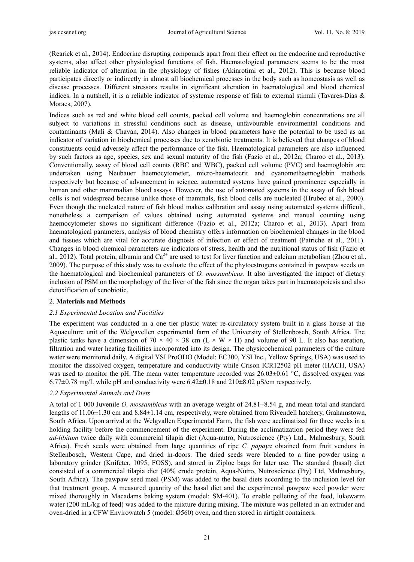(Rearick et al., 2014). Endocrine disrupting compounds apart from their effect on the endocrine and reproductive systems, also affect other physiological functions of fish. Haematological parameters seems to be the most reliable indicator of alteration in the physiology of fishes (Akinrotimi et al., 2012). This is because blood participates directly or indirectly in almost all biochemical processes in the body such as homeostasis as well as disease processes. Different stressors results in significant alteration in haematological and blood chemical indices. In a nutshell, it is a reliable indicator of systemic response of fish to external stimuli (Tavares-Dias & Moraes, 2007).

Indices such as red and white blood cell counts, packed cell volume and haemoglobin concentrations are all subject to variations in stressful conditions such as disease, unfavourable environmental conditions and contaminants (Mali & Chavan, 2014). Also changes in blood parameters have the potential to be used as an indicator of variation in biochemical processes due to xenobiotic treatments. It is believed that changes of blood constituents could adversely affect the performance of the fish. Haematological parameters are also influenced by such factors as age, species, sex and sexual maturity of the fish (Fazio et al., 2012a; Charoo et al., 2013). Conventionally, assay of blood cell counts (RBC and WBC), packed cell volume (PVC) and haemoglobin are undertaken using Neubauer haemocytometer, micro-haematocrit and cyanomethaemoglobin methods respectively but because of advancement in science, automated systems have gained prominence especially in human and other mammalian blood assays. However, the use of automated systems in the assay of fish blood cells is not widespread because unlike those of mammals, fish blood cells are nucleated (Hrubec et al., 2000). Even though the nucleated nature of fish blood makes calibration and assay using automated systems difficult, nonetheless a comparison of values obtained using automated systems and manual counting using haemocytometer shows no significant difference (Fazio et al., 2012a; Charoo et al., 2013). Apart from haematological parameters, analysis of blood chemistry offers information on biochemical changes in the blood and tissues which are vital for accurate diagnosis of infection or effect of treatment (Patriche et al., 2011). Changes in blood chemical parameters are indicators of stress, health and the nutritional status of fish (Fazio et al., 2012). Total protein, albumin and  $Ca^{2+}$  are used to test for liver function and calcium metabolism (Zhou et al., 2009). The purpose of this study was to evaluate the effect of the phytoestrogens contained in pawpaw seeds on the haematological and biochemical parameters of *O. mossambicus*. It also investigated the impact of dietary inclusion of PSM on the morphology of the liver of the fish since the organ takes part in haematopoiesis and also detoxification of xenobiotic.

## 2. **Materials and Methods**

# *2.1 Experimental Location and Facilities*

The experiment was conducted in a one tier plastic water re-circulatory system built in a glass house at the Aquaculture unit of the Welgavellen experimental farm of the University of Stellenbosch, South Africa. The plastic tanks have a dimension of 70  $\times$  40  $\times$  38 cm (L  $\times$  W  $\times$  H) and volume of 90 L. It also has aeration, filtration and water heating facilities incorporated into its design. The physicochemical parameters of the culture water were monitored daily. A digital YSI ProODO (Model: EC300, YSI Inc., Yellow Springs, USA) was used to monitor the dissolved oxygen, temperature and conductivity while Crison ICR12502 pH meter (HACH, USA) was used to monitor the pH. The mean water temperature recorded was  $26.03\pm0.61$  °C, dissolved oxygen was  $6.77\pm0.78$  mg/L while pH and conductivity were  $6.42\pm0.18$  and  $210\pm8.02$   $\mu$ S/cm respectively.

# *2.2 Experimental Animals and Diets*

A total of 1 000 Juvenile *O. mossambicus* with an average weight of 24.81±8.54 g, and mean total and standard lengths of 11.06±1.30 cm and 8.84±1.14 cm, respectively, were obtained from Rivendell hatchery, Grahamstown, South Africa. Upon arrival at the Welgvallen Experimental Farm, the fish were acclimatized for three weeks in a holding facility before the commencement of the experiment. During the acclimatization period they were fed *ad-libitum* twice daily with commercial tilapia diet (Aqua-nutro, Nutroscience (Pty) Ltd., Malmesbury, South Africa). Fresh seeds were obtained from large quantities of ripe *C. papaya* obtained from fruit vendors in Stellenbosch, Western Cape, and dried in-doors. The dried seeds were blended to a fine powder using a laboratory grinder (Knifeter, 1095, FOSS), and stored in Ziploc bags for later use. The standard (basal) diet consisted of a commercial tilapia diet (40% crude protein, Aqua-Nutro, Nutroscience (Pty) Ltd, Malmesbury, South Africa). The pawpaw seed meal (PSM) was added to the basal diets according to the inclusion level for that treatment group. A measured quantity of the basal diet and the experimental pawpaw seed powder were mixed thoroughly in Macadams baking system (model: SM-401). To enable pelleting of the feed, lukewarm water (200 mL/kg of feed) was added to the mixture during mixing. The mixture was pelleted in an extruder and oven-dried in a CFW Envirowatch 5 (model:  $(0.560)$  oven, and then stored in airtight containers.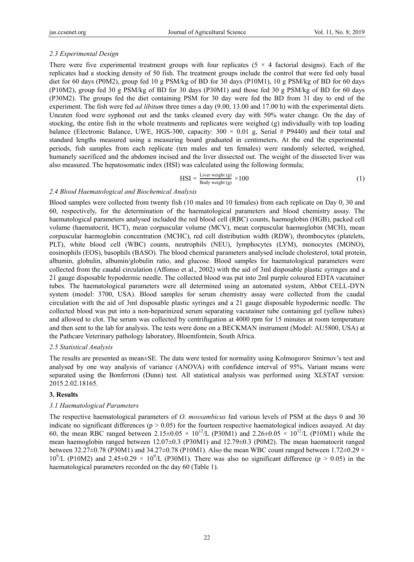#### *2.3 Experimental Design*

There were five experimental treatment groups with four replicates ( $5 \times 4$  factorial designs). Each of the replicates had a stocking density of 50 fish. The treatment groups include the control that were fed only basal diet for 60 days (P0M2), group fed 10 g PSM/kg of BD for 30 days (P10M1), 10 g PSM/kg of BD for 60 days (P10M2), group fed 30 g PSM/kg of BD for 30 days (P30M1) and those fed 30 g PSM/kg of BD for 60 days (P30M2). The groups fed the diet containing PSM for 30 day were fed the BD from 31 day to end of the experiment. The fish were fed *ad libitum* three times a day (9.00, 13.00 and 17.00 h) with the experimental diets. Uneaten food were syphoned out and the tanks cleaned every day with 50% water change. On the day of stocking, the entire fish in the whole treatments and replicates were weighed (g) individually with top loading balance (Electronic Balance, UWE, HGS-300, capacity:  $300 \times 0.01$  g, Serial # P9440) and their total and standard lengths measured using a measuring board graduated in centimeters. At the end the experimental periods, fish samples from each replicate (ten males and ten females) were randomly selected, weighed, humanely sacrificed and the abdomen incised and the liver dissected out. The weight of the dissected liver was also measured. The hepatosomatic index (HSI) was calculated using the following formula;

$$
HSI = \frac{\text{Liver weight (g)}}{\text{Body weight (g)}} \times 100
$$
 (1)

### *2.4 Blood Haematological and Biochemical Analysis*

Blood samples were collected from twenty fish (10 males and 10 females) from each replicate on Day 0, 30 and 60, respectively, for the determination of the haematological parameters and blood chemistry assay. The haematological parameters analysed included the red blood cell (RBC) counts, haemoglobin (HGB), packed cell volume (haematocrit, HCT), mean corpuscular volume (MCV), mean corpuscular haemoglobin (MCH), mean corpuscular haemoglobin concentration (MCHC), red cell distribution width (RDW), thrombocytes (platelets, PLT), white blood cell (WBC) counts, neutrophils (NEU), lymphocytes (LYM), monocytes (MONO), eosinophils (EOS), basophils (BASO). The blood chemical parameters analysed include cholesterol, total protein, albumin, globulin, albumin/globulin ratio, and glucose. Blood samples for haematological parameters were collected from the caudal circulation (Affonso et al., 2002) with the aid of 3ml disposable plastic syringes and a 21 gauge disposable hypodermic needle. The collected blood was put into 2ml purple coloured EDTA vacutainer tubes. The haematological parameters were all determined using an automated system, Abbot CELL-DYN system (model: 3700, USA). Blood samples for serum chemistry assay were collected from the caudal circulation with the aid of 3ml disposable plastic syringes and a 21 gauge disposable hypodermic needle. The collected blood was put into a non-heparinized serum separating vacutainer tube containing gel (yellow tubes) and allowed to clot. The serum was collected by centrifugation at 4000 rpm for 15 minutes at room temperature and then sent to the lab for analysis. The tests were done on a BECKMAN instrument (Model: AU5800, USA) at the Pathcare Veterinary pathology laboratory, Bloemfontein, South Africa.

#### *2.5 Statistical Analysis*

The results are presented as mean±SE. The data were tested for normality using Kolmogorov Smirnov's test and analysed by one way analysis of variance (ANOVA) with confidence interval of 95%. Variant means were separated using the Bonferroni (Dunn) test. All statistical analysis was performed using XLSTAT version: 2015.2.02.18165.

#### **3. Results**

#### *3.1 Haematological Parameters*

The respective haematological parameters of *O. mossambicus* fed various levels of PSM at the days 0 and 30 indicate no significant differences ( $p > 0.05$ ) for the fourteen respective haematological indices assayed. At day 60, the mean RBC ranged between  $2.15\pm0.05 \times 10^{12}$ /L (P30M1) and  $2.26\pm0.05 \times 10^{12}$ /L (P10M1) while the mean haemoglobin ranged between 12.07±0.3 (P30M1) and 12.79±0.3 (P0M2). The mean haematocrit ranged between 32.27 $\pm$ 0.78 (P30M1) and 34.27 $\pm$ 0.78 (P10M1). Also the mean WBC count ranged between 1.72 $\pm$ 0.29  $\times$  $10^9$ /L (P10M2) and 2.45 $\pm$ 0.29  $\times$  10<sup>9</sup>/L (P30M1). There was also no significant difference (p > 0.05) in the haematological parameters recorded on the day 60 (Table 1).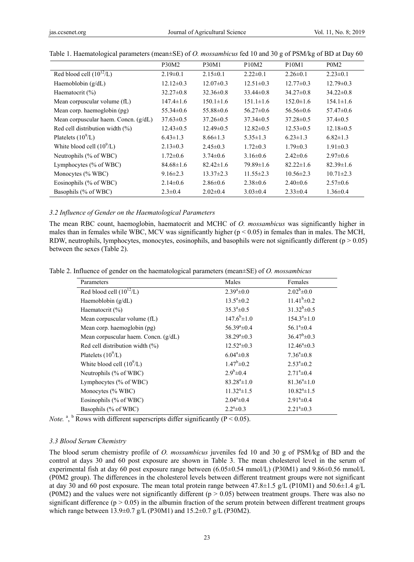|                                      | <b>P30M2</b>    | <b>P30M1</b>    | P <sub>10</sub> M <sub>2</sub> | P <sub>10</sub> M <sub>1</sub> | P <sub>0</sub> M <sub>2</sub> |
|--------------------------------------|-----------------|-----------------|--------------------------------|--------------------------------|-------------------------------|
| Red blood cell $(10^{12}/L)$         | $2.19\pm0.1$    | $2.15 \pm 0.1$  | $2.22 \pm 0.1$                 | $2.26 \pm 0.1$                 | $2.23 \pm 0.1$                |
| Haemoblobin $(g/dL)$                 | $12.12 \pm 0.3$ | $12.07 \pm 0.3$ | $12.51 \pm 0.3$                | $12.77 \pm 0.3$                | $12.79 \pm 0.3$               |
| Haematocrit $(\% )$                  | $32.27 \pm 0.8$ | $32.36 \pm 0.8$ | $33.44\pm0.8$                  | $34.27 \pm 0.8$                | $34.22 \pm 0.8$               |
| Mean corpuscular volume (fL)         | $147.4 \pm 1.6$ | $150.1 \pm 1.6$ | $151.1 \pm 1.6$                | $152.0 \pm 1.6$                | $154.1 \pm 1.6$               |
| Mean corp. haemoglobin (pg)          | $55.34 \pm 0.6$ | $55.88 \pm 0.6$ | $56.27 \pm 0.6$                | $56.56 \pm 0.6$                | $57.47\pm0.6$                 |
| Mean corpuscular haem. Concn. (g/dL) | $37.63 \pm 0.5$ | $37.26 \pm 0.5$ | $37.34 \pm 0.5$                | $37.28 \pm 0.5$                | $37.4 \pm 0.5$                |
| Red cell distribution width $(\%)$   | $12.43 \pm 0.5$ | $12.49\pm0.5$   | $12.82 \pm 0.5$                | $12.53 \pm 0.5$                | $12.18 \pm 0.5$               |
| Platelets $(10^9/L)$                 | $6.43 \pm 1.3$  | $8.66 \pm 1.3$  | $5.35 \pm 1.3$                 | $6.23 \pm 1.3$                 | $6.82 \pm 1.3$                |
| White blood cell $(10^9/L)$          | $2.13 \pm 0.3$  | $2.45 \pm 0.3$  | $1.72 \pm 0.3$                 | $1.79 \pm 0.3$                 | $1.91 \pm 0.3$                |
| Neutrophils (% of WBC)               | $1.72 \pm 0.6$  | $3.74 \pm 0.6$  | $3.16\pm0.6$                   | $2.42 \pm 0.6$                 | $2.97 \pm 0.6$                |
| Lymphocytes $(\%$ of WBC)            | $84.68 \pm 1.6$ | $82.42 \pm 1.6$ | $79.89 \pm 1.6$                | $82.22 \pm 1.6$                | $82.39 \pm 1.6$               |
| Monocytes (% WBC)                    | $9.16 \pm 2.3$  | $13.37 \pm 2.3$ | $11.55 \pm 2.3$                | $10.56 \pm 2.3$                | $10.71 \pm 2.3$               |
| Eosinophils (% of WBC)               | $2.14\pm0.6$    | $2.86 \pm 0.6$  | $2.38 \pm 0.6$                 | $2.40\pm0.6$                   | $2.57\pm0.6$                  |
| Basophils (% of WBC)                 | $2.3 \pm 0.4$   | $2.02 \pm 0.4$  | $3.03 \pm 0.4$                 | $2.33 \pm 0.4$                 | $1.36 \pm 0.4$                |

| Table 1. Haematological parameters (mean±SE) of <i>O. mossambicus</i> fed 10 and 30 g of PSM/kg of BD at Day 60 |  |  |  |  |
|-----------------------------------------------------------------------------------------------------------------|--|--|--|--|
|                                                                                                                 |  |  |  |  |

#### *3.2 Influence of Gender on the Haematological Parameters*

The mean RBC count, haemoglobin, haematocrit and MCHC of *O. mossambicus* was significantly higher in males than in females while WBC, MCV was significantly higher ( $p < 0.05$ ) in females than in males. The MCH, RDW, neutrophils, lymphocytes, monocytes, eosinophils, and basophils were not significantly different ( $p > 0.05$ ) between the sexes (Table 2).

Table 2. Influence of gender on the haematological parameters (mean±SE) of *O. mossambicus*

| Parameters                           | Males                      | Females                    |
|--------------------------------------|----------------------------|----------------------------|
| Red blood cell $(10^{12}/L)$         | $2.39^a \pm 0.0$           | $2.02^b \pm 0.0$           |
| Haemoblobin $(g/dL)$                 | $13.5^a \pm 0.2$           | $11.41^b \pm 0.2$          |
| Haematocrit $(\% )$                  | $35.3^{\circ} \pm 0.5$     | $31.32^{b} \pm 0.5$        |
| Mean corpuscular volume (fL)         | $147.6^b \pm 1.0$          | $154.3^a \pm 1.0$          |
| Mean corp. haemoglobin (pg)          | $56.39^{\circ} \pm 0.4$    | $56.1^{\circ} \pm 0.4$     |
| Mean corpuscular haem. Concn. (g/dL) | $38.29^{\circ} \pm 0.3$    | $36.47^b \pm 0.3$          |
| Red cell distribution width $(\%)$   | $12.52^{\mathrm{a}}\pm0.3$ | $12.46^{\circ} \pm 0.3$    |
| Platelets $(10^9/L)$                 | $6.04^a \pm 0.8$           | $7.36^{\circ} \pm 0.8$     |
| White blood cell $(10^9/L)$          | $1.47^b \pm 0.2$           | $2.53^{\circ} \pm 0.2$     |
| Neutrophils (% of WBC)               | $2.9^b \pm 0.4$            | $2.71^{\circ}$ ±0.4        |
| Lymphocytes (% of WBC)               | $83.28^a \pm 1.0$          | $81.36^a \pm 1.0$          |
| Monocytes (% WBC)                    | $11.32^{\circ}$ ± 1.5      | $10.82^{\mathrm{a}}\pm1.5$ |
| Eosinophils (% of WBC)               | $2.04^a \pm 0.4$           | $2.91^a \pm 0.4$           |
| Basophils (% of WBC)                 | $2.2^a \pm 0.3$            | $2.21^{\degree}\pm 0.3$    |

*Note.* <sup>a</sup>, <sup>b</sup> Rows with different superscripts differ significantly (P < 0.05).

#### *3.3 Blood Serum Chemistry*

The blood serum chemistry profile of *O. mossambicus* juveniles fed 10 and 30 g of PSM/kg of BD and the control at days 30 and 60 post exposure are shown in Table 3. The mean cholesterol level in the serum of experimental fish at day 60 post exposure range between (6.05±0.54 mmol/L) (P30M1) and 9.86±0.56 mmol/L (P0M2 group). The differences in the cholesterol levels between different treatment groups were not significant at day 30 and 60 post exposure. The mean total protein range between 47.8±1.5 g/L (P10M1) and 50.6±1.4 g/L (P0M2) and the values were not significantly different ( $p > 0.05$ ) between treatment groups. There was also no significant difference ( $p > 0.05$ ) in the albumin fraction of the serum protein between different treatment groups which range between 13.9±0.7 g/L (P30M1) and 15.2±0.7 g/L (P30M2).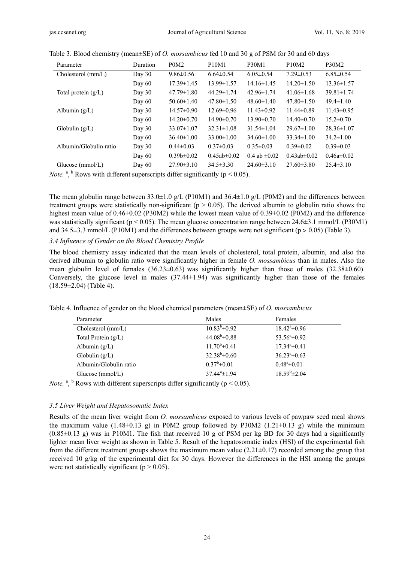| Parameter              | Duration | P <sub>0</sub> M <sub>2</sub> | <b>P10M1</b>      | <b>P30M1</b>        | P <sub>10</sub> M <sub>2</sub> | P30M2            |
|------------------------|----------|-------------------------------|-------------------|---------------------|--------------------------------|------------------|
| Cholesterol (mm/L)     | Day $30$ | $9.86 \pm 0.56$               | $6.64 \pm 0.54$   | $6.05 \pm 0.54$     | $7.29 \pm 0.53$                | $6.85\pm0.54$    |
|                        | Day $60$ | $17.39 \pm 1.45$              | $13.99 \pm 1.57$  | $14.16 \pm 1.45$    | $14.20 \pm 1.50$               | $13.36 \pm 1.57$ |
| Total protein $(g/L)$  | Day $30$ | $47.79 \pm 1.80$              | $44.29 \pm 1.74$  | $42.96 \pm 1.74$    | $41.06\pm1.68$                 | $39.81 \pm 1.74$ |
|                        | Day $60$ | $50.60 \pm 1.40$              | $47.80 \pm 1.50$  | $48.60 \pm 1.40$    | $47.80 \pm 1.50$               | $49.4 \pm 1.40$  |
| Albumin $(g/L)$        | Day $30$ | $14.57\pm0.90$                | $12.69\pm0.96$    | $11.43\pm0.92$      | $11.44\pm0.89$                 | $11.43\pm0.95$   |
|                        | Day $60$ | $14.20 \pm 0.70$              | $14.90 \pm 0.70$  | $13.90 \pm 0.70$    | $14.40\pm0.70$                 | $15.2 \pm 0.70$  |
| Globulin $(g/L)$       | Day $30$ | $33.07 \pm 1.07$              | $32.31 \pm 1.08$  | $31.54 \pm 1.04$    | $29.67 \pm 1.00$               | $28.36 \pm 1.07$ |
|                        | Day $60$ | $36.40 \pm 1.00$              | $33.00 \pm 1.00$  | $34.60 \pm 1.00$    | $33.34 \pm 1.00$               | $34.2 \pm 1.00$  |
| Albumin/Globulin ratio | Day $30$ | $0.44 \pm 0.03$               | $0.37 \pm 0.03$   | $0.35 \pm 0.03$     | $0.39 \pm 0.02$                | $0.39 \pm 0.03$  |
|                        | Day $60$ | $0.39b \pm 0.02$              | $0.45ab \pm 0.02$ | $0.4$ ab $\pm 0.02$ | $0.43ab \pm 0.02$              | $0.46a \pm 0.02$ |
| Glucose $(mmol/L)$     | Day $60$ | $27.90 \pm 3.10$              | $34.5 \pm 3.30$   | $24.60 \pm 3.10$    | $27.60\pm3.80$                 | $25.4 \pm 3.10$  |

Table 3. Blood chemistry (mean±SE) of *O. mossambicus* fed 10 and 30 g of PSM for 30 and 60 days

*Note.* <sup>a</sup>, <sup>b</sup> Rows with different superscripts differ significantly ( $p < 0.05$ ).

The mean globulin range between  $33.0\pm1.0$  g/L (P10M1) and  $36.4\pm1.0$  g/L (P0M2) and the differences between treatment groups were statistically non-significant ( $p > 0.05$ ). The derived albumin to globulin ratio shows the highest mean value of 0.46±0.02 (P30M2) while the lowest mean value of 0.39±0.02 (P0M2) and the difference was statistically significant ( $p < 0.05$ ). The mean glucose concentration range between 24.6 $\pm$ 3.1 mmol/L (P30M1) and  $34.5\pm3.3$  mmol/L (P10M1) and the differences between groups were not significant (p  $> 0.05$ ) (Table 3).

#### *3.4 Influence of Gender on the Blood Chemistry Profile*

The blood chemistry assay indicated that the mean levels of cholesterol, total protein, albumin, and also the derived albumin to globulin ratio were significantly higher in female *O. mossambicus* than in males. Also the mean globulin level of females  $(36.23\pm0.63)$  was significantly higher than those of males  $(32.38\pm0.60)$ . Conversely, the glucose level in males  $(37.44\pm 1.94)$  was significantly higher than those of the females  $(18.59 \pm 2.04)$  (Table 4).

| Parameter              | Males                  | Females                  |
|------------------------|------------------------|--------------------------|
| Cholesterol (mm/L)     | $10.83^{b} \pm 0.92$   | $18.42^{\circ} \pm 0.96$ |
| Total Protein $(g/L)$  | $44.08^b \pm 0.88$     | $53.56^{\circ} \pm 0.92$ |
| Albumin $(g/L)$        | $11.70^b \pm 0.41$     | $17.34^{\circ} \pm 0.41$ |
| Globulin $(g/L)$       | $32.38^b \pm 0.60$     | $36.23^{\circ} \pm 0.63$ |
| Albumin/Globulin ratio | $0.37^b \pm 0.01$      | $0.48^a \pm 0.01$        |
| Glucose $(mmol/L)$     | $37.44^{\circ}$ ± 1.94 | $18.59^{b} \pm 2.04$     |

Table 4. Influence of gender on the blood chemical parameters (mean±SE) of *O. mossambicus*

*Note.* <sup>a</sup>, <sup>b</sup> Rows with different superscripts differ significantly ( $p < 0.05$ ).

#### *3.5 Liver Weight and Hepatosomatic Index*

Results of the mean liver weight from *O. mossambicus* exposed to various levels of pawpaw seed meal shows the maximum value  $(1.48\pm0.13 \text{ g})$  in P0M2 group followed by P30M2  $(1.21\pm0.13 \text{ g})$  while the minimum  $(0.85\pm0.13 \text{ g})$  was in P10M1. The fish that received 10 g of PSM per kg BD for 30 days had a significantly lighter mean liver weight as shown in Table 5. Result of the hepatosomatic index (HSI) of the experimental fish from the different treatment groups shows the maximum mean value  $(2.21\pm0.17)$  recorded among the group that received 10 g/kg of the experimental diet for 30 days. However the differences in the HSI among the groups were not statistically significant ( $p > 0.05$ ).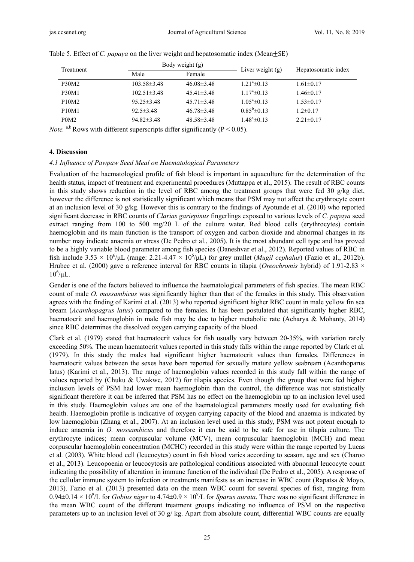| Treatment                      |                   | Body weight (g)  | Liver weight $(g)$    | Hepatosomatic index |  |
|--------------------------------|-------------------|------------------|-----------------------|---------------------|--|
|                                | Male<br>Female    |                  |                       |                     |  |
| <b>P30M2</b>                   | $103.58 \pm 3.48$ | $46.08\pm3.48$   | $1.21^a \pm 0.13$     | $1.61 \pm 0.17$     |  |
| <b>P30M1</b>                   | $102.51 \pm 3.48$ | $45.41\pm3.48$   | $1.17^{\circ}$ ± 0.13 | $1.46 \pm 0.17$     |  |
| P <sub>10</sub> M <sub>2</sub> | $95.25 \pm 3.48$  | $45.71 \pm 3.48$ | $1.05^{\circ}$ = 0.13 | $1.53 \pm 0.17$     |  |
| <b>P10M1</b>                   | $92.5 \pm 3.48$   | $46.78\pm3.48$   | $0.85^b \pm 0.13$     | $1.2 \pm 0.17$      |  |
| P <sub>0</sub> M <sub>2</sub>  | $94.82 \pm 3.48$  | $48.58\pm3.48$   | $1.48^a \pm 0.13$     | $2.21 \pm 0.17$     |  |

|  |  | Table 5. Effect of C. papaya on the liver weight and hepatosomatic index (Mean $\pm$ SE) |  |
|--|--|------------------------------------------------------------------------------------------|--|
|  |  |                                                                                          |  |

*Note.* a,b Rows with different superscripts differ significantly ( $P < 0.05$ ).

#### **4. Discussion**

#### *4.1 Influence of Pawpaw Seed Meal on Haematological Parameters*

Evaluation of the haematological profile of fish blood is important in aquaculture for the determination of the health status, impact of treatment and experimental procedures (Muttappa et al., 2015). The result of RBC counts in this study shows reduction in the level of RBC among the treatment groups that were fed 30 g/kg diet, however the difference is not statistically significant which means that PSM may not affect the erythrocyte count at an inclusion level of 30 g/kg. However this is contrary to the findings of Ayotunde et al. (2010) who reported significant decrease in RBC counts of *Clarias gariepinus* fingerlings exposed to various levels of *C. papaya* seed extract ranging from 100 to 500 mg/20 L of the culture water. Red blood cells (erythrocytes) contain haemoglobin and its main function is the transport of oxygen and carbon dioxide and abnormal changes in its number may indicate anaemia or stress (De Pedro et al., 2005). It is the most abundant cell type and has proved to be a highly variable blood parameter among fish species (Daneshvar et al., 2012). Reported values of RBC in fish include  $3.53 \times 10^6/\mu$ L (range:  $2.21$ -4.47  $\times 10^6/\mu$ L) for grey mullet (*Mugil cephalus*) (Fazio et al., 2012b). Hrubec et al. (2000) gave a reference interval for RBC counts in tilapia (*Oreochromis* hybrid) of 1.91-2.83 ×  $10^6/\mu L$ .

Gender is one of the factors believed to influence the haematological parameters of fish species. The mean RBC count of male *O. mossambicus* was significantly higher than that of the females in this study. This observation agrees with the finding of Karimi et al. (2013) who reported significant higher RBC count in male yellow fin sea bream (*Acanthopagrus latus*) compared to the females. It has been postulated that significantly higher RBC, haematocrit and haemoglobin in male fish may be due to higher metabolic rate (Acharya & Mohanty, 2014) since RBC determines the dissolved oxygen carrying capacity of the blood.

Clark et al*.* (1979) stated that haematocrit values for fish usually vary between 20-35%, with variation rarely exceeding 50%. The mean haematocrit values reported in this study falls within the range reported by Clark et al*.*  (1979). In this study the males had significant higher haematocrit values than females. Differences in haematocrit values between the sexes have been reported for sexually mature yellow seabream (Acanthoparus latus) (Karimi et al., 2013). The range of haemoglobin values recorded in this study fall within the range of values reported by (Chuku & Uwakwe, 2012) for tilapia species. Even though the group that were fed higher inclusion levels of PSM had lower mean haemoglobin than the control, the difference was not statistically significant therefore it can be inferred that PSM has no effect on the haemoglobin up to an inclusion level used in this study. Haemoglobin values are one of the haematological parameters mostly used for evaluating fish health. Haemoglobin profile is indicative of oxygen carrying capacity of the blood and anaemia is indicated by low haemoglobin (Zhang et al., 2007). At an inclusion level used in this study, PSM was not potent enough to induce anaemia in *O. mossambicus* and therefore it can be said to be safe for use in tilapia culture. The erythrocyte indices; mean corpuscular volume (MCV), mean corpuscular haemoglobin (MCH) and mean corpuscular haemoglobin concentration (MCHC) recorded in this study were within the range reported by Lucas et al*.* (2003). White blood cell (leucocytes) count in fish blood varies according to season, age and sex (Charoo et al., 2013). Leucopoenia or leucocytosis are pathological conditions associated with abnormal leucocyte count indicating the possibility of alteration in immune function of the individual (De Pedro et al., 2005). A response of the cellular immune system to infection or treatments manifests as an increase in WBC count (Rapatsa & Moyo, 2013). Fazio et al. (2013) presented data on the mean WBC count for several species of fish, ranging from 0.94 $\pm$ 0.14  $\times$  10<sup>9</sup>/L for *Gobius niger* to 4.74 $\pm$ 0.9  $\times$  10<sup>9</sup>/L for *Sparus aurata*. There was no significant difference in the mean WBC count of the different treatment groups indicating no influence of PSM on the respective parameters up to an inclusion level of 30  $g$ / kg. Apart from absolute count, differential WBC counts are equally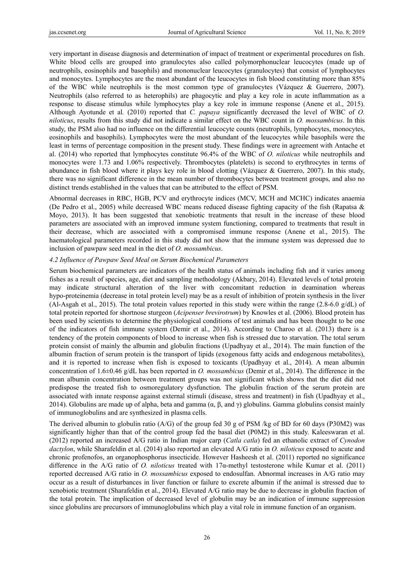very important in disease diagnosis and determination of impact of treatment or experimental procedures on fish. White blood cells are grouped into granulocytes also called polymorphonuclear leucocytes (made up of neutrophils, eosinophils and basophils) and mononuclear leucocytes (granulocytes) that consist of lymphocytes and monocytes. Lymphocytes are the most abundant of the leucocytes in fish blood constituting more than 85% of the WBC while neutrophils is the most common type of granulocytes (Vázquez & Guerrero, 2007). Neutrophils (also referred to as heterophils) are phagocytic and play a key role in acute inflammation as a response to disease stimulus while lymphocytes play a key role in immune response (Anene et al., 2015). Although Ayotunde et al*.* (2010) reported that *C. papaya* significantly decreased the level of WBC of *O. niloticus*, results from this study did not indicate a similar effect on the WBC count in *O. mossambicus*. In this study, the PSM also had no influence on the differential leucocyte counts (neutrophils, lymphocytes, monocytes, eosinophils and basophils). Lymphocytes were the most abundant of the leucocytes while basophils were the least in terms of percentage composition in the present study. These findings were in agreement with Antache et al. (2014) who reported that lymphocytes constitute 96.4% of the WBC of *O. niloticus* while neutrophils and monocytes were 1.73 and 1.06% respectively. Thrombocytes (platelets) is second to erythrocytes in terms of abundance in fish blood where it plays key role in blood clotting (Vázquez & Guerrero, 2007). In this study, there was no significant difference in the mean number of thrombocytes between treatment groups, and also no distinct trends established in the values that can be attributed to the effect of PSM.

Abnormal decreases in RBC, HGB, PCV and erythrocyte indices (MCV, MCH and MCHC) indicates anaemia (De Pedro et al., 2005) while decreased WBC means reduced disease fighting capacity of the fish (Rapatsa & Moyo, 2013). It has been suggested that xenobiotic treatments that result in the increase of these blood parameters are associated with an improved immune system functioning, compared to treatments that result in their decrease, which are associated with a compromised immune response (Anene et al., 2015). The haematological parameters recorded in this study did not show that the immune system was depressed due to inclusion of pawpaw seed meal in the diet of *O. mossambicus*.

## *4.2 Influence of Pawpaw Seed Meal on Serum Biochemical Parameters*

Serum biochemical parameters are indicators of the health status of animals including fish and it varies among fishes as a result of species, age, diet and sampling methodology (Akbary, 2014). Elevated levels of total protein may indicate structural alteration of the liver with concomitant reduction in deamination whereas hypo-proteinemia (decrease in total protein level) may be as a result of inhibition of protein synthesis in the liver (Al-Asgah et al., 2015). The total protein values reported in this study were within the range (2.8-6.0 g/dL) of total protein reported for shortnose sturgeon (*Acipenser brevirotrum*) by Knowles et al. (2006). Blood protein has been used by scientists to determine the physiological conditions of test animals and has been thought to be one of the indicators of fish immune system (Demir et al., 2014). According to Charoo et al. (2013) there is a tendency of the protein components of blood to increase when fish is stressed due to starvation. The total serum protein consist of mainly the albumin and globulin fractions (Upadhyay et al., 2014). The main function of the albumin fraction of serum protein is the transport of lipids (exogenous fatty acids and endogenous metabolites), and it is reported to increase when fish is exposed to toxicants (Upadhyay et al., 2014). A mean albumin concentration of 1.6±0.46 g/dL has been reported in *O. mossambicus* (Demir et al., 2014). The difference in the mean albumin concentration between treatment groups was not significant which shows that the diet did not predispose the treated fish to osmoregulatory dysfunction. The globulin fraction of the serum protein are associated with innate response against external stimuli (disease, stress and treatment) in fish (Upadhyay et al., 2014). Globulins are made up of alpha, beta and gamma  $(\alpha, \beta, \text{ and } \gamma)$  globulins. Gamma globulins consist mainly of immunoglobulins and are synthesized in plasma cells.

The derived albumin to globulin ratio (A/G) of the group fed 30 g of PSM /kg of BD for 60 days (P30M2) was significantly higher than that of the control group fed the basal diet (P0M2) in this study. Kaleeswaran et al. (2012) reported an increased A/G ratio in Indian major carp (*Catla catla*) fed an ethanolic extract of *Cynodon dactylon*, while Sharafeldin et al. (2014) also reported an elevated A/G ratio in *O. niloticus* exposed to acute and chronic profenofos, an organophosphorus insecticide. However Hasheesh et al. (2011) reported no significance difference in the A/G ratio of *O. niloticus* treated with 17α-methyl testosterone while Kumar et al. (2011) reported decreased A/G ratio in *O. mossambicus* exposed to endosulfan. Abnormal increases in A/G ratio may occur as a result of disturbances in liver function or failure to excrete albumin if the animal is stressed due to xenobiotic treatment (Sharafeldin et al., 2014). Elevated A/G ratio may be due to decrease in globulin fraction of the total protein. The implication of decreased level of globulin may be an indication of immune suppression since globulins are precursors of immunoglobulins which play a vital role in immune function of an organism.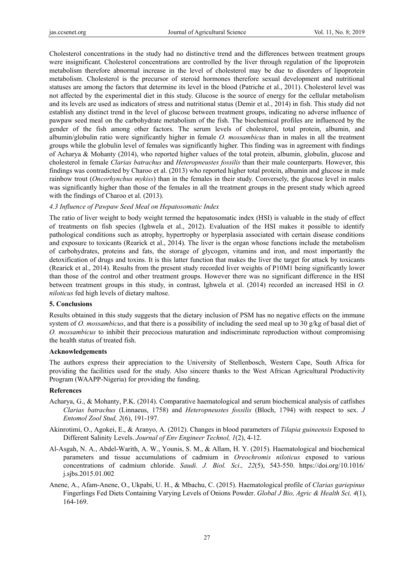Cholesterol concentrations in the study had no distinctive trend and the differences between treatment groups were insignificant. Cholesterol concentrations are controlled by the liver through regulation of the lipoprotein metabolism therefore abnormal increase in the level of cholesterol may be due to disorders of lipoprotein metabolism. Cholesterol is the precursor of steroid hormones therefore sexual development and nutritional statuses are among the factors that determine its level in the blood (Patriche et al., 2011). Cholesterol level was not affected by the experimental diet in this study. Glucose is the source of energy for the cellular metabolism and its levels are used as indicators of stress and nutritional status (Demir et al., 2014) in fish. This study did not establish any distinct trend in the level of glucose between treatment groups, indicating no adverse influence of pawpaw seed meal on the carbohydrate metabolism of the fish. The biochemical profiles are influenced by the gender of the fish among other factors. The serum levels of cholesterol, total protein, albumin, and albumin/globulin ratio were significantly higher in female *O. mossambicus* than in males in all the treatment groups while the globulin level of females was significantly higher. This finding was in agreement with findings of Acharya & Mohanty (2014), who reported higher values of the total protein, albumin, globulin, glucose and cholesterol in female *Clarias batrachus* and *Heteropneustes fossilis* than their male counterparts. However, this findings was contradicted by Charoo et al. (2013) who reported higher total protein, albumin and glucose in male rainbow trout (*Oncorhynchus mykiss*) than in the females in their study. Conversely, the glucose level in males was significantly higher than those of the females in all the treatment groups in the present study which agreed with the findings of Charoo et al.  $(2013)$ .

# *4.3 Influence of Pawpaw Seed Meal on Hepatosomatic Index*

The ratio of liver weight to body weight termed the hepatosomatic index (HSI) is valuable in the study of effect of treatments on fish species (Ighwela et al., 2012). Evaluation of the HSI makes it possible to identify pathological conditions such as atrophy, hypertrophy or hyperplasia associated with certain disease conditions and exposure to toxicants (Rearick et al., 2014). The liver is the organ whose functions include the metabolism of carbohydrates, proteins and fats, the storage of glycogen, vitamins and iron, and most importantly the detoxification of drugs and toxins. It is this latter function that makes the liver the target for attack by toxicants (Rearick et al., 2014). Results from the present study recorded liver weights of P10M1 being significantly lower than those of the control and other treatment groups. However there was no significant difference in the HSI between treatment groups in this study, in contrast, Ighwela et al. (2014) recorded an increased HSI in *O. niloticus* fed high levels of dietary maltose.

## **5. Conclusions**

Results obtained in this study suggests that the dietary inclusion of PSM has no negative effects on the immune system of *O. mossambicus*, and that there is a possibility of including the seed meal up to 30 g/kg of basal diet of *O. mossambicus* to inhibit their precocious maturation and indiscriminate reproduction without compromising the health status of treated fish.

## **Acknowledgements**

The authors express their appreciation to the University of Stellenbosch, Western Cape, South Africa for providing the facilities used for the study. Also sincere thanks to the West African Agricultural Productivity Program (WAAPP-Nigeria) for providing the funding.

## **References**

- Acharya, G., & Mohanty, P.K. (2014). Comparative haematological and serum biochemical analysis of catfishes *Clarias batrachus* (Linnaeus, 1758) and *Heteropneustes fossilis* (Bloch, 1794) with respect to sex. *J Entomol Zool Stud, 2*(6), 191-197.
- Akinrotimi, O., Agokei, E., & Aranyo, A. (2012). Changes in blood parameters of *Tilapia guineensis* Exposed to Different Salinity Levels. *Journal of Env Engineer Technol, 1*(2), 4-12.
- Al-Asgah, N. A., Abdel-Warith, A. W., Younis, S. M., & Allam, H. Y. (2015). Haematological and biochemical parameters and tissue accumulations of cadmium in *Oreochromis niloticus* exposed to various concentrations of cadmium chloride. *Saudi. J. Biol. Sci*.*, 22*(5), 543-550. https://doi.org/10.1016/ j.sjbs.2015.01.002
- Anene, A., Afam-Anene, O., Ukpabi, U. H., & Mbachu, C. (2015). Haematological profile of *Clarias gariepinus* Fingerlings Fed Diets Containing Varying Levels of Onions Powder. *Global J Bio, Agric & Health Sci, 4*(1), 164-169.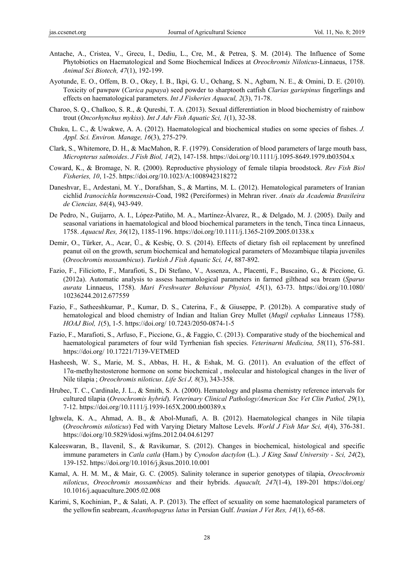- Antache, A., Cristea, V., Grecu, I., Dediu, L., Cre, M., & Petrea, Ş. M. (2014). The Influence of Some Phytobiotics on Haematological and Some Biochemical Indices at *Oreochromis Niloticus*-Linnaeus, 1758. *Animal Sci Biotech, 47*(1), 192-199.
- Ayotunde, E. O., Offem, B. O., Okey, I. B., Ikpi, G. U., Ochang, S. N., Agbam, N. E., & Omini, D. E. (2010). Toxicity of pawpaw (*Carica papaya*) seed powder to sharptooth catfish *Clarias gariepinus* fingerlings and effects on haematological parameters. *Int J Fisheries Aquacul, 2*(3), 71-78.
- Charoo, S. Q., Chalkoo, S. R., & Qureshi, T. A. (2013). Sexual differentiation in blood biochemistry of rainbow trout (*Oncorhynchus mykiss*). *Int J Adv Fish Aquatic Sci, 1*(1), 32-38.
- Chuku, L. C., & Uwakwe, A. A. (2012). Haematological and biochemical studies on some species of fishes. *J. Appl. Sci. Environ. Manage, 16*(3), 275-279.
- Clark, S., Whitemore, D. H., & MacMahon, R. F. (1979). Consideration of blood parameters of large mouth bass, *Micropterus salmoides*. *J Fish Biol, 14*(2), 147-158. https://doi.org/10.1111/j.1095-8649.1979.tb03504.x
- Coward, K., & Bromage, N. R. (2000). Reproductive physiology of female tilapia broodstock. *Rev Fish Biol Fisheries, 10*, 1-25. https://doi.org/10.1023/A:1008942318272
- Daneshvar, E., Ardestani, M. Y., Dorafshan, S., & Martins, M. L. (2012). Hematological parameters of Iranian cichlid *Iranocichla hormuzensis*-Coad, 1982 (Perciformes) in Mehran river. *Anais da Academia Brasileira de Ciencias, 84*(4), 943-949.
- De Pedro, N., Guijarro, A. I., López-Patiño, M. A., Martínez-Álvarez, R., & Delgado, M. J. (2005). Daily and seasonal variations in haematological and blood biochemical parameters in the tench, Tinca tinca Linnaeus, 1758. *Aquacul Res, 36*(12), 1185-1196. https://doi.org/10.1111/j.1365-2109.2005.01338.x
- Demir, O., Türker, A., Acar, Ü., & Kesbiç, O. S. (2014). Effects of dietary fish oil replacement by unrefined peanut oil on the growth, serum biochemical and hematological parameters of Mozambique tilapia juveniles (*Oreochromis mossambicus*). *Turkish J Fish Aquatic Sci, 14*, 887-892.
- Fazio, F., Filiciotto, F., Marafioti, S., Di Stefano, V., Assenza, A., Placenti, F., Buscaino, G., & Piccione, G. (2012a). Automatic analysis to assess haematological parameters in farmed gilthead sea bream (*Sparus aurata* Linnaeus, 1758). *Mari Freshwater Behaviour Physiol, 45*(1), 63-73. https://doi.org/10.1080/ 10236244.2012.677559
- Fazio, F., Satheeshkumar, P., Kumar, D. S., Caterina, F., & Giuseppe, P. (2012b). A comparative study of hematological and blood chemistry of Indian and Italian Grey Mullet (*Mugil cephalus* Linneaus 1758). *HOAJ Biol, 1*(5), 1-5. https://doi.org/ 10.7243/2050-0874-1-5
- Fazio, F., Marafioti, S., Arfuso, F., Piccione, G., & Faggio, C. (2013). Comparative study of the biochemical and haematological parameters of four wild Tyrrhenian fish species. *Veterinarni Medicina, 58*(11), 576-581. https://doi.org/ 10.17221/7139-VETMED
- Hasheesh, W. S., Marie, M. S., Abbas, H. H., & Eshak, M. G. (2011). An evaluation of the effect of 17α-methyltestosterone hormone on some biochemical , molecular and histological changes in the liver of Nile tilapia ; *Oreochromis niloticus*. *Life Sci J, 8*(3), 343-358.
- Hrubec, T. C., Cardinale, J. L., & Smith, S. A. (2000). Hematology and plasma chemistry reference intervals for cultured tilapia (*Oreochromis hybrid*). *Veterinary Clinical Pathology/American Soc Vet Clin Pathol, 29*(1), 7-12. https://doi.org/10.1111/j.1939-165X.2000.tb00389.x
- Ighwela, K. A., Ahmad, A. B., & Abol-Munafi, A. B. (2012). Haematological changes in Nile tilapia (*Oreochromis niloticus*) Fed with Varying Dietary Maltose Levels. *World J Fish Mar Sci, 4*(4), 376-381. https://doi.org/10.5829/idosi.wjfms.2012.04.04.61297
- Kaleeswaran, B., Ilavenil, S., & Ravikumar, S. (2012). Changes in biochemical, histological and specific immune parameters in *Catla catla* (Ham.) by *Cynodon dactylon* (L.). *J King Saud University - Sci, 24*(2), 139-152. https://doi.org/10.1016/j.jksus.2010.10.001
- Kamal, A. H. M. M., & Mair, G. C. (2005). Salinity tolerance in superior genotypes of tilapia, *Oreochromis niloticus*, *Oreochromis mossambicus* and their hybrids. *Aquacult, 247*(1-4), 189-201 https://doi.org/ 10.1016/j.aquaculture.2005.02.008
- Karimi, S, Kochinian, P., & Salati, A. P. (2013). The effect of sexuality on some haematological parameters of the yellowfin seabream, *Acanthopagrus latus* in Persian Gulf. *Iranian J Vet Res, 14*(1), 65-68.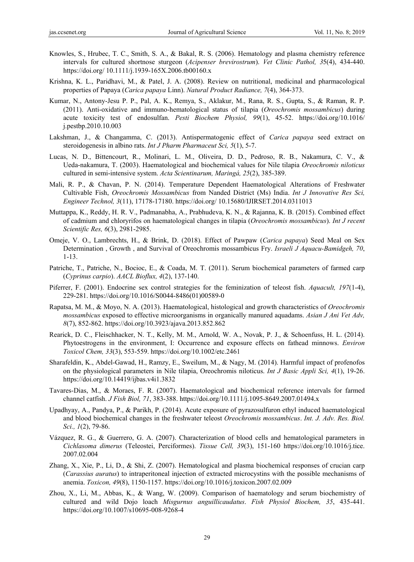- Knowles, S., Hrubec, T. C., Smith, S. A., & Bakal, R. S. (2006). Hematology and plasma chemistry reference intervals for cultured shortnose sturgeon (*Acipenser brevirostrum*). *Vet Clinic Pathol, 3*5(4), 434-440. https://doi.org/ 10.1111/j.1939-165X.2006.tb00160.x
- Krishna, K. L., Paridhavi, M., & Patel, J. A. (2008). Review on nutritional, medicinal and pharmacological properties of Papaya (*Carica papaya* Linn). *Natural Product Radiance, 7*(4), 364-373.
- Kumar, N., Antony-Jesu P. P., Pal, A. K., Remya, S., Aklakur, M., Rana, R. S., Gupta, S., & Raman, R. P. (2011). Anti-oxidative and immuno-hematological status of tilapia (*Oreochromis mossambicus*) during acute toxicity test of endosulfan. *Pesti Biochem Physiol, 99*(1), 45-52. https://doi.org/10.1016/ j.pestbp.2010.10.003
- Lakshman, J., & Changamma, C. (2013). Antispermatogenic effect of *Carica papaya* seed extract on steroidogenesis in albino rats. *Int J Pharm Pharmaceut Sci, 5*(1), 5-7.
- Lucas, N. D., Bittencourt, R., Molinari, L. M., Oliveira, D. D., Pedroso, R. B., Nakamura, C. V., & Ueda-nakamura, T. (2003). Haematological and biochemical values for Nile tilapia *Oreochromis niloticus* cultured in semi-intensive system. *Acta Scientinarum, Maringá, 25*(2), 385-389.
- Mali, R. P., & Chavan, P. N. (2014). Temperature Dependent Haematological Alterations of Freshwater Cultivable Fish, *Oreochromis Mossambicus* from Nanded District (Ms) India. *Int J Innovative Res Sci, Engineer Technol, 3*(11), 17178-17180. https://doi.org/ 10.15680/IJIRSET.2014.0311013
- Muttappa, K., Reddy, H. R. V., Padmanabha, A., Prabhudeva, K. N., & Rajanna, K. B. (2015). Combined effect of cadmium and chloryrifos on haematological changes in tilapia (*Oreochromis mossambicus*). *Int J recent Scientific Res, 6*(3), 2981-2985.
- Omeje, V. O., Lambrechts, H., & Brink, D. (2018). Effect of Pawpaw (*Carica papaya*) Seed Meal on Sex Determination , Growth , and Survival of Oreochromis mossambicus Fry. *Israeli J Aquacu-Bamidgeh, 70*, 1-13.
- Patriche, T., Patriche, N., Bocioc, E., & Coada, M. T. (2011). Serum biochemical parameters of farmed carp (*Cyprinus carpio*). *AACL Bioflux, 4*(2), 137-140.
- Piferrer, F. (2001). Endocrine sex control strategies for the feminization of teleost fish. *Aquacult, 197*(1-4), 229-281. https://doi.org/10.1016/S0044-8486(01)00589-0
- Rapatsa, M. M., & Moyo, N. A. (2013). Haematological, histological and growth characteristics of *Oreochromis mossambicus* exposed to effective microorganisms in organically manured aquadams. *Asian J Ani Vet Adv, 8*(7), 852-862. https://doi.org/10.3923/ajava.2013.852.862
- Rearick, D. C., Fleischhacker, N. T., Kelly, M. M., Arnold, W. A., Novak, P. J., & Schoenfuss, H. L. (2014). Phytoestrogens in the environment, I: Occurrence and exposure effects on fathead minnows. *Environ Toxicol Chem, 33*(3), 553-559. https://doi.org/10.1002/etc.2461
- Sharafeldin, K., Abdel-Gawad, H., Ramzy, E., Sweilum, M., & Nagy, M. (2014). Harmful impact of profenofos on the physiological parameters in Nile tilapia, Oreochromis niloticus. *Int J Basic Appli Sci, 4*(1), 19-26. https://doi.org/10.14419/ijbas.v4i1.3832
- Tavares-Dias, M., & Moraes, F. R. (2007). Haematological and biochemical reference intervals for farmed channel catfish. *J Fish Biol, 71*, 383-388. https://doi.org/10.1111/j.1095-8649.2007.01494.x
- Upadhyay, A., Pandya, P., & Parikh, P. (2014). Acute exposure of pyrazosulfuron ethyl induced haematological and blood biochemical changes in the freshwater teleost *Oreochromis mossambicus*. *Int. J. Adv. Res. Biol. Sci., 1*(2), 79-86.
- Vázquez, R. G., & Guerrero, G. A. (2007). Characterization of blood cells and hematological parameters in *Cichlasoma dimerus* (Teleostei, Perciformes). *Tissue Cell, 39*(3), 151-160 https://doi.org/10.1016/j.tice. 2007.02.004
- Zhang, X., Xie, P., Li, D., & Shi, Z. (2007). Hematological and plasma biochemical responses of crucian carp (*Carassius auratus*) to intraperitoneal injection of extracted microcystins with the possible mechanisms of anemia. *Toxicon, 49*(8), 1150-1157. https://doi.org/10.1016/j.toxicon.2007.02.009
- Zhou, X., Li, M., Abbas, K., & Wang, W. (2009). Comparison of haematology and serum biochemistry of cultured and wild Dojo loach *Misgurnus anguillicaudatus*. *Fish Physiol Biochem, 35*, 435-441. https://doi.org/10.1007/s10695-008-9268-4